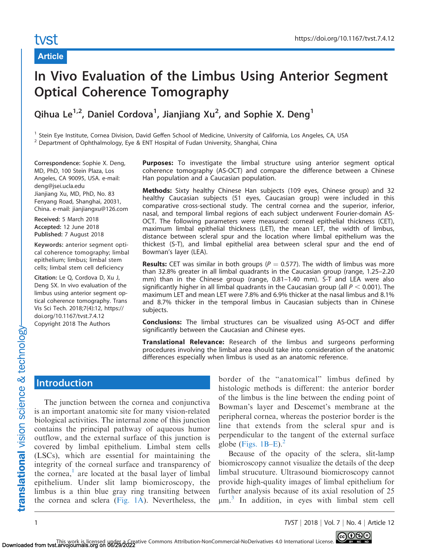Article

# In Vivo Evaluation of the Limbus Using Anterior Segment Optical Coherence Tomography

Qihua Le<sup>1,2</sup>, Daniel Cordova<sup>1</sup>, Jianjiang Xu<sup>2</sup>, and Sophie X. Deng<sup>1</sup>

<sup>1</sup> Stein Eye Institute, Cornea Division, David Geffen School of Medicine, University of California, Los Angeles, CA, USA  $2$  Department of Ophthalmology, Eye & ENT Hospital of Fudan University, Shanghai, China

Correspondence: Sophie X. Deng, MD, PhD, 100 Stein Plaza, Los Angeles, CA 90095, USA. e-mail: deng@jsei.ucla.edu Jianjiang Xu, MD, PhD, No. 83 Fenyang Road, Shanghai, 20031, China. e-mail: jianjiangxu@126.com

Received: 5 March 2018 Accepted: 12 June 2018 Published: 7 August 2018

Keywords: anterior segment optical coherence tomography; limbal epithelium; limbus; limbal stem cells; limbal stem cell deficiency

Citation: Le Q, Cordova D, Xu J, Deng SX. In vivo evaluation of the limbus using anterior segment optical coherence tomography. Trans Vis Sci Tech. 2018;7(4):12, https:// doi.org/10.1167/tvst.7.4.12 Copyright 2018 The Authors

Purposes: To investigate the limbal structure using anterior segment optical coherence tomography (AS-OCT) and compare the difference between a Chinese Han population and a Caucasian population.

Methods: Sixty healthy Chinese Han subjects (109 eyes, Chinese group) and 32 healthy Caucasian subjects (51 eyes, Caucasian group) were included in this comparative cross-sectional study. The central cornea and the superior, inferior, nasal, and temporal limbal regions of each subject underwent Fourier-domain AS-OCT. The following parameters were measured: corneal epithelial thickness (CET), maximum limbal epithelial thickness (LET), the mean LET, the width of limbus, distance between scleral spur and the location where limbal epithelium was the thickest (S-T), and limbal epithelial area between scleral spur and the end of Bowman's layer (LEA).

**Results:** CET was similar in both groups ( $P = 0.577$ ). The width of limbus was more than 32.8% greater in all limbal quadrants in the Caucasian group (range, 1.25–2.20 mm) than in the Chinese group (range, 0.81–1.40 mm). S-T and LEA were also significantly higher in all limbal quadrants in the Caucasian group (all  $P < 0.001$ ). The maximum LET and mean LET were 7.8% and 6.9% thicker at the nasal limbus and 8.1% and 8.7% thicker in the temporal limbus in Caucasian subjects than in Chinese subjects.

Conclusions: The limbal structures can be visualized using AS-OCT and differ significantly between the Caucasian and Chinese eyes.

Translational Relevance: Research of the limbus and surgeons performing procedures involving the limbal area should take into consideration of the anatomic differences especially when limbus is used as an anatomic reference.

## Introduction

The junction between the cornea and conjunctiva is an important anatomic site for many vision-related biological activities. The internal zone of this junction contains the principal pathway of aqueous humor outflow, and the external surface of this junction is covered by limbal epithelium. Limbal stem cells (LSCs), which are essential for maintaining the integrity of the corneal surface and transparency of the cornea, $\frac{1}{1}$  are located at the basal layer of limbal epithelium. Under slit lamp biomicroscopy, the limbus is a thin blue gray ring transiting between the cornea and sclera ([Fig. 1A](#page-1-0)). Nevertheless, the

border of the ''anatomical'' limbus defined by histologic methods is different: the anterior border of the limbus is the line between the ending point of Bowman's layer and Descemet's membrane at the peripheral cornea, whereas the posterior border is the line that extends from the scleral spur and is perpendicular to the tangent of the external surface globe (Figs.  $1B-E$ ).<sup>[2](#page-6-0)</sup>

Because of the opacity of the sclera, slit-lamp biomicroscopy cannot visualize the details of the deep limbal strucuture. Ultrasound biomicroscopy cannot provide high-quality images of limbal epithelium for further analysis because of its axial resolution of 25  $\mu$ m.<sup>[3](#page-6-0)</sup> In addition, in eyes with limbal stem cell

1 TVST j 2018 j Vol. 7 j No. 4 j Article 12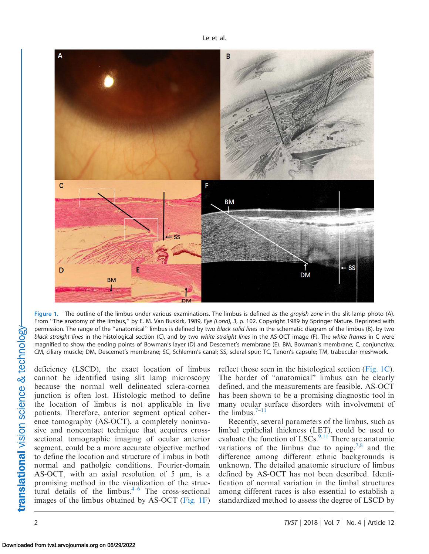<span id="page-1-0"></span>

Figure 1. The outline of the limbus under various examinations. The limbus is defined as the *grayish zone* in the slit lamp photo (A). From "The anatomy of the limbus," by E. M. Van Buskirk, 1989, Eye (Lond), 3, p. 102. Copyright 1989 by Springer Nature. Reprinted with permission. The range of the "anatomical" limbus is defined by two black solid lines in the schematic diagram of the limbus (B), by two black straight lines in the histological section (C), and by two white straight lines in the AS-OCT image (F). The white frames in C were magnified to show the ending points of Bowman's layer (D) and Descemet's membrane (E). BM, Bowman's membrane; C, conjunctiva; CM, ciliary muscle; DM, Descemet's membrane; SC, Schlemm's canal; SS, scleral spur; TC, Tenon's capsule; TM, trabecular meshwork.

deficiency (LSCD), the exact location of limbus cannot be identified using slit lamp microscopy because the normal well delineated sclera-cornea junction is often lost. Histologic method to define the location of limbus is not applicable in live patients. Therefore, anterior segment optical coherence tomography (AS-OCT), a completely noninvasive and noncontact technique that acquires crosssectional tomographic imaging of ocular anterior segment, could be a more accurate objective method to define the location and structure of limbus in both normal and patholgic conditions. Fourier-domain AS-OCT, with an axial resolution of  $5 \mu m$ , is a promising method in the visualization of the structural details of the limbus. $4-6$  The cross-sectional images of the limbus obtained by AS-OCT (Fig. 1F)

reflect those seen in the histological section (Fig. 1C). The border of ''anatomical'' limbus can be clearly defined, and the measurements are feasible. AS-OCT has been shown to be a promising diagnostic tool in many ocular surface disorders with involvement of the limbus. $7-11$ 

Recently, several parameters of the limbus, such as limbal epithelial thickness (LET), could be used to evaluate the function of  $LSCs$ .<sup>[9](#page-7-0),[11](#page-7-0)</sup> There are anatomic variations of the limbus due to aging,  $7.8$  and the difference among different ethnic backgrounds is unknown. The detailed anatomic structure of limbus defined by AS-OCT has not been described. Identification of normal variation in the limbal structures among different races is also essential to establish a standardized method to assess the degree of LSCD by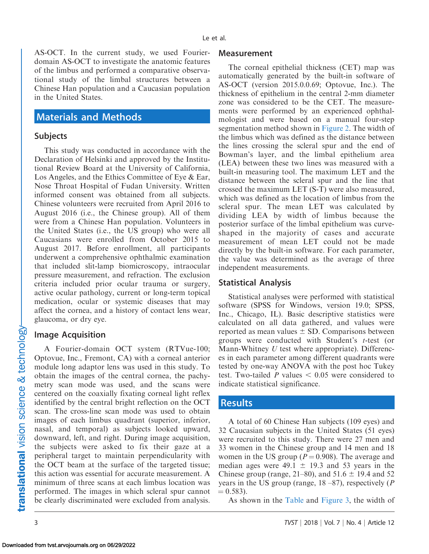AS-OCT. In the current study, we used Fourierdomain AS-OCT to investigate the anatomic features of the limbus and performed a comparative observational study of the limbal structures between a Chinese Han population and a Caucasian population in the United States.

### Materials and Methods

#### **Subjects**

This study was conducted in accordance with the Declaration of Helsinki and approved by the Institutional Review Board at the University of California, Los Angeles, and the Ethics Committee of Eye & Ear, Nose Throat Hospital of Fudan University. Written informed consent was obtained from all subjects. Chinese volunteers were recruited from April 2016 to August 2016 (i.e., the Chinese group). All of them were from a Chinese Han population. Volunteers in the United States (i.e., the US group) who were all Caucasians were enrolled from October 2015 to August 2017. Before enrollment, all participants underwent a comprehensive ophthalmic examination that included slit-lamp biomicroscopy, intraocular pressure measurement, and refraction. The exclusion criteria included prior ocular trauma or surgery, active ocular pathology, current or long-term topical medication, ocular or systemic diseases that may affect the cornea, and a history of contact lens wear, glaucoma, or dry eye.

#### Image Acquisition

A Fourier-domain OCT system (RTVue-100; Optovue, Inc., Fremont, CA) with a corneal anterior module long adaptor lens was used in this study. To obtain the images of the central cornea, the pachymetry scan mode was used, and the scans were centered on the coaxially fixating corneal light reflex identified by the central bright reflection on the OCT scan. The cross-line scan mode was used to obtain images of each limbus quadrant (superior, inferior, nasal, and temporal) as subjects looked upward, downward, left, and right. During image acquisition, the subjects were asked to fix their gaze at a peripheral target to maintain perpendicularity with the OCT beam at the surface of the targeted tissue; this action was essential for accurate measurement. A minimum of three scans at each limbus location was performed. The images in which scleral spur cannot be clearly discriminated were excluded from analysis.

#### Measurement

The corneal epithelial thickness (CET) map was automatically generated by the built-in software of AS-OCT (version 2015.0.0.69; Optovue, Inc.). The thickness of epithelium in the central 2-mm diameter zone was considered to be the CET. The measurements were performed by an experienced ophthalmologist and were based on a manual four-step segmentation method shown in [Figure 2](#page-3-0). The width of the limbus which was defined as the distance between the lines crossing the scleral spur and the end of Bowman's layer, and the limbal epithelium area (LEA) between these two lines was measured with a built-in measuring tool. The maximum LET and the distance between the scleral spur and the line that crossed the maximum LET (S-T) were also measured, which was defined as the location of limbus from the scleral spur. The mean LET was calculated by dividing LEA by width of limbus because the posterior surface of the limbal epithelium was curveshaped in the majority of cases and accurate measurement of mean LET could not be made directly by the built-in software. For each parameter, the value was determined as the average of three independent measurements.

#### Statistical Analysis

Statistical analyses were performed with statistical software (SPSS for Windows, version 19.0; SPSS, Inc., Chicago, IL). Basic descriptive statistics were calculated on all data gathered, and values were reported as mean values  $\pm$  SD. Comparisons between groups were conducted with Student's t-test (or Mann-Whitney U test where appropriate). Differences in each parameter among different quadrants were tested by one-way ANOVA with the post hoc Tukey test. Two-tailed  $P$  values  $< 0.05$  were considered to indicate statistical significance.

#### Results

A total of 60 Chinese Han subjects (109 eyes) and 32 Caucasian subjects in the United States (51 eyes) were recruited to this study. There were 27 men and 33 women in the Chinese group and 14 men and 18 women in the US group ( $P = 0.908$ ). The average and median ages were 49.1  $\pm$  19.3 and 53 years in the Chinese group (range, 21–80), and  $51.6 \pm 19.4$  and  $52$ years in the US group (range,  $18 - 87$ ), respectively (P  $= 0.583$ .

As shown in the [Table](#page-4-0) and [Figure 3](#page-5-0), the width of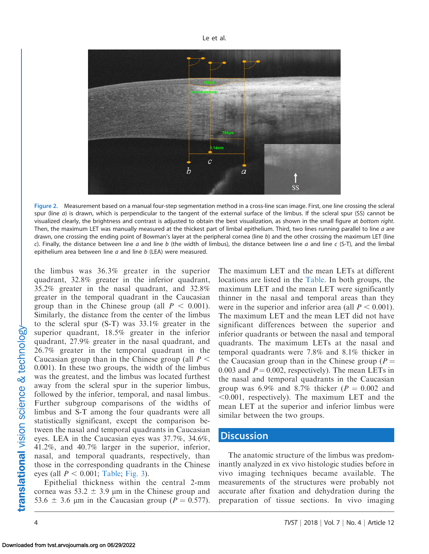<span id="page-3-0"></span>

Figure 2. Measurement based on a manual four-step segmentation method in a cross-line scan image. First, one line crossing the scleral spur (line *a*) is drawn, which is perpendicular to the tangent of the external surface of the limbus. If the scleral spur (SS) cannot be visualized clearly, the brightness and contrast is adjusted to obtain the best visualization, as shown in the small figure at bottom right. Then, the maximum LET was manually measured at the thickest part of limbal epithelium. Third, two lines running parallel to line a are drawn, one crossing the ending point of Bowman's layer at the peripheral cornea (line b) and the other crossing the maximum LET (line c). Finally, the distance between line a and line b (the width of limbus), the distance between line a and line c (S-T), and the limbal epithelium area between line  $a$  and line  $b$  (LEA) were measured.

the limbus was 36.3% greater in the superior quadrant, 32.8% greater in the inferior quadrant, 35.2% greater in the nasal quadrant, and 32.8% greater in the temporal quadrant in the Caucasian group than in the Chinese group (all  $P < 0.001$ ). Similarly, the distance from the center of the limbus to the scleral spur (S-T) was 33.1% greater in the superior quadrant, 18.5% greater in the inferior quadrant, 27.9% greater in the nasal quadrant, and 26.7% greater in the temporal quadrant in the Caucasian group than in the Chinese group (all  $P \leq$ 0.001). In these two groups, the width of the limbus was the greatest, and the limbus was located furthest away from the scleral spur in the superior limbus, followed by the inferior, temporal, and nasal limbus. Further subgroup comparisons of the widths of limbus and S-T among the four quadrants were all statistically significant, except the comparison between the nasal and temporal quadrants in Caucasian eyes. LEA in the Caucasian eyes was 37.7%, 34.6%, 41.2%, and 40.7% larger in the superior, inferior, nasal, and temporal quadrants, respectively, than those in the corresponding quadrants in the Chinese eyes (all  $P < 0.001$ ; [Table](#page-4-0); [Fig. 3\)](#page-5-0).

Epithelial thickness within the central 2-mm cornea was  $53.2 \pm 3.9$  µm in the Chinese group and 53.6  $\pm$  3.6 µm in the Caucasian group ( $P = 0.577$ ). The maximum LET and the mean LETs at different locations are listed in the [Table.](#page-4-0) In both groups, the maximum LET and the mean LET were significantly thinner in the nasal and temporal areas than they were in the superior and inferior area (all  $P < 0.001$ ). The maximum LET and the mean LET did not have significant differences between the superior and inferior quadrants or between the nasal and temporal quadrants. The maximum LETs at the nasal and temporal quadrants were 7.8% and 8.1% thicker in the Caucasian group than in the Chinese group ( $P =$ 0.003 and  $P = 0.002$ , respectively). The mean LETs in the nasal and temporal quadrants in the Caucasian group was 6.9% and 8.7% thicker  $(P = 0.002$  and  $< 0.001$ , respectively). The maximum LET and the mean LET at the superior and inferior limbus were similar between the two groups.

#### **Discussion**

The anatomic structure of the limbus was predominantly analyzed in ex vivo histologic studies before in vivo imaging techniques became available. The measurements of the structures were probably not accurate after fixation and dehydration during the preparation of tissue sections. In vivo imaging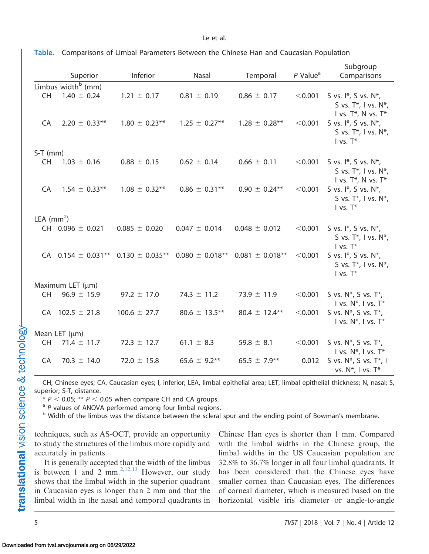<span id="page-4-0"></span>

|  | Table. Comparisons of Limbal Parameters Between the Chinese Han and Caucasian Population |  |  |  |  |  |  |  |  |  |
|--|------------------------------------------------------------------------------------------|--|--|--|--|--|--|--|--|--|
|--|------------------------------------------------------------------------------------------|--|--|--|--|--|--|--|--|--|

|                                |                       |                                                                |                    |                     |                        | Subgroup                                                                                |  |  |  |  |  |
|--------------------------------|-----------------------|----------------------------------------------------------------|--------------------|---------------------|------------------------|-----------------------------------------------------------------------------------------|--|--|--|--|--|
|                                | Superior              | Inferior                                                       | Nasal              | Temporal            | $P$ Value <sup>a</sup> | Comparisons                                                                             |  |  |  |  |  |
| Limbus width <sup>b</sup> (mm) |                       |                                                                |                    |                     |                        |                                                                                         |  |  |  |  |  |
| <b>CH</b>                      | $1.40 \pm 0.24$       | $1.21 \pm 0.17$                                                | $0.81 \pm 0.19$    | $0.86 \pm 0.17$     | < 0.001                | S vs. $I^*$ , S vs. $N^*$ ,<br>S vs. $T^*$ , I vs. $N^*$ ,<br>I vs. $T^*$ , N vs. $T^*$ |  |  |  |  |  |
| CA                             | $2.20 \pm 0.33***$    | $1.80 \pm 0.23***$                                             | $1.25 \pm 0.27**$  | $1.28 \pm 0.28$ **  | $<$ 0.001              | S vs. $I^*, S$ vs. $N^*,$<br>S vs. $T^*$ , I vs. $N^*$ ,<br>$I vs. T^*$                 |  |  |  |  |  |
| $S-T$ (mm)                     |                       |                                                                |                    |                     |                        |                                                                                         |  |  |  |  |  |
| CH                             | $1.03 \pm 0.16$       | $0.88 \pm 0.15$                                                | $0.62 \pm 0.14$    | $0.66 \pm 0.11$     | $<$ 0.001              | S vs. $I^*, S$ vs. $N^*,$<br>S vs. $T^*$ , I vs. $N^*$ ,<br>I vs. $T^*$ , N vs. $T^*$   |  |  |  |  |  |
| CA                             | $1.54 \pm 0.33**$     | $1.08 \pm 0.32**$                                              | $0.86 \pm 0.31***$ | $0.90 \pm 0.24**$   | $<$ 0.001              | S vs. $I^*$ , S vs. $N^*$ ,<br>S vs. $T^*$ , I vs. $N^*$ ,<br>$I vs. T^*$               |  |  |  |  |  |
| LEA $(mm2)$                    |                       |                                                                |                    |                     |                        |                                                                                         |  |  |  |  |  |
|                                | CH $0.096 \pm 0.021$  | $0.085 \pm 0.020$                                              | $0.047 \pm 0.014$  | $0.048 \pm 0.012$   | $<$ 0.001              | S vs. $I^*, S$ vs. $N^*,$<br>S vs. $T^*$ , I vs. $N^*$ ,<br>$I vs. T*$                  |  |  |  |  |  |
|                                |                       | CA $0.154 \pm 0.031**$ 0.130 $\pm$ 0.035** 0.080 $\pm$ 0.018** |                    | $0.081 \pm 0.018**$ | $<$ 0.001              | S vs. $I^*$ , S vs. $N^*$ ,<br>S vs. $T^*$ , I vs. $N^*$ ,<br>$I vs. T^*$               |  |  |  |  |  |
|                                | Maximum LET $(\mu m)$ |                                                                |                    |                     |                        |                                                                                         |  |  |  |  |  |
| CH.                            | $96.9 \pm 15.9$       | $97.2 \pm 17.0$                                                | $74.3 \pm 11.2$    | 73.9 $\pm$ 11.9     | < 0.001                | S vs. $N^*$ , S vs. $T^*$ ,<br>I vs. $N^*$ , I vs. $T^*$                                |  |  |  |  |  |
|                                | CA $102.5 \pm 21.8$   | $100.6 \pm 27.7$                                               | $80.6 \pm 13.5***$ | $80.4 \pm 12.4**$   | < 0.001                | S vs. $N^*$ , S vs. $T^*$ ,<br>I vs. $N^*$ , I vs. $T^*$                                |  |  |  |  |  |
| Mean LET $(\mu m)$             |                       |                                                                |                    |                     |                        |                                                                                         |  |  |  |  |  |
|                                |                       |                                                                |                    |                     |                        |                                                                                         |  |  |  |  |  |
| CH                             | $71.4 \pm 11.7$       | $72.3 \pm 12.7$                                                | $61.1 \pm 8.3$     | 59.8 $\pm$ 8.1      | < 0.001                | S vs. $N^*$ , S vs. $T^*$ ,<br>I vs. $N^*$ , I vs. $T^*$                                |  |  |  |  |  |
| CA                             | 70.3 $\pm$ 14.0       | $72.0 \pm 15.8$                                                | $65.6 \pm 9.2$ **  | 65.5 $\pm$ 7.9**    | 0.012                  | S vs. N*, S vs. T*, I<br>vs. N*, I vs. T*                                               |  |  |  |  |  |

CH, Chinese eyes; CA, Caucasian eyes; I, inferior; LEA, limbal epithelial area; LET, limbal epithelial thickness; N, nasal; S, superior; S-T, distance.

 $* P < 0.05$ ;  $** P < 0.05$  when compare CH and CA groups. <br><sup>a</sup> P values of ANOVA performed among four limbal regions.

<sup>b</sup> Width of the limbus was the distance between the scleral spur and the ending point of Bowman's membrane.

techniques, such as AS-OCT, provide an opportunity to study the structures of the limbus more rapidly and accurately in patients.

It is generally accepted that the width of the limbus is between 1 and 2 mm. $^{2,12,13}$  $^{2,12,13}$  $^{2,12,13}$  However, our study shows that the limbal width in the superior quadrant in Caucasian eyes is longer than 2 mm and that the limbal width in the nasal and temporal quadrants in Chinese Han eyes is shorter than 1 mm. Compared with the limbal widths in the Chinese group, the limbal widths in the US Caucasian population are 32.8% to 36.7% longer in all four limbal quadrants. It has been considered that the Chinese eyes have smaller cornea than Caucasian eyes. The differences of corneal diameter, which is measured based on the horizontal visible iris diameter or angle-to-angle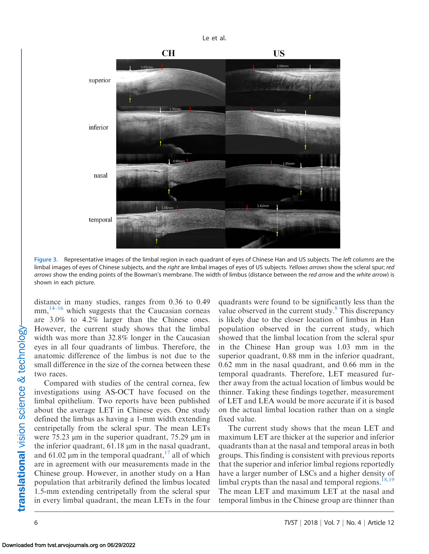

<span id="page-5-0"></span>

Figure 3. Representative images of the limbal region in each quadrant of eyes of Chinese Han and US subjects. The left columns are the limbal images of eyes of Chinese subjects, and the right are limbal images of eyes of US subjects. Yellows arrows show the scleral spur; red arrows show the ending points of the Bowman's membrane. The width of limbus (distance between the red arrow and the white arrow) is shown in each picture.

distance in many studies, ranges from 0.36 to 0.49  $mm$ ,  $^{14-16}$  which suggests that the Caucasian corneas are 3.0% to 4.2% larger than the Chinese ones. However, the current study shows that the limbal width was more than 32.8% longer in the Caucasian eyes in all four quadrants of limbus. Therefore, the anatomic difference of the limbus is not due to the small difference in the size of the cornea between these two races.

Compared with studies of the central cornea, few investigations using AS-OCT have focused on the limbal epithelium. Two reports have been published about the average LET in Chinese eyes. One study defined the limbus as having a 1-mm width extending centripetally from the scleral spur. The mean LETs were  $75.23 \mu m$  in the superior quadrant,  $75.29 \mu m$  in the inferior quadrant,  $61.18 \mu m$  in the nasal quadrant, and 61.02  $\mu$ m in the temporal quadrant,<sup>[17](#page-7-0)</sup> all of which are in agreement with our measurements made in the Chinese group. However, in another study on a Han population that arbitrarily defined the limbus located 1.5-mm extending centripetally from the scleral spur in every limbal quadrant, the mean LETs in the four

quadrants were found to be significantly less than the value observed in the current study.<sup>[8](#page-6-0)</sup> This discrepancy is likely due to the closer location of limbus in Han population observed in the current study, which showed that the limbal location from the scleral spur in the Chinese Han group was 1.03 mm in the superior quadrant, 0.88 mm in the inferior quadrant, 0.62 mm in the nasal quadrant, and 0.66 mm in the temporal quadrants. Therefore, LET measured further away from the actual location of limbus would be thinner. Taking these findings together, measurement of LET and LEA would be more accurate if it is based on the actual limbal location rather than on a single fixed value.

The current study shows that the mean LET and maximum LET are thicker at the superior and inferior quadrants than at the nasal and temporal areas in both groups. This finding is consistent with previous reports that the superior and inferior limbal regions reportedly have a larger number of LSCs and a higher density of limbal crypts than the nasal and temporal regions. $18,19$ The mean LET and maximum LET at the nasal and temporal limbus in the Chinese group are thinner than

translational vision science & technology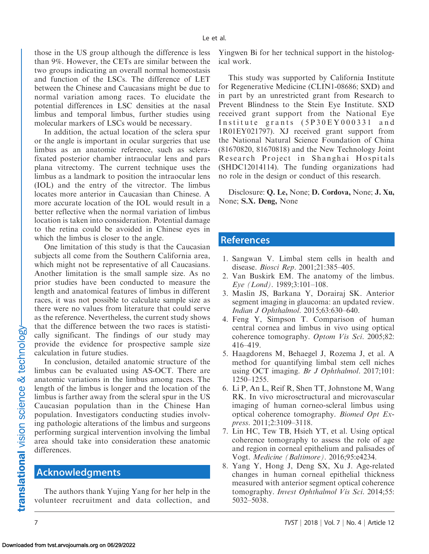<span id="page-6-0"></span>those in the US group although the difference is less than 9%. However, the CETs are similar between the two groups indicating an overall normal homeostasis and function of the LSCs. The difference of LET between the Chinese and Caucasians might be due to normal variation among races. To elucidate the potential differences in LSC densities at the nasal limbus and temporal limbus, further studies using molecular markers of LSCs would be necessary.

In addition, the actual location of the sclera spur or the angle is important in ocular surgeries that use limbus as an anatomic reference, such as sclerafixated posterior chamber intraocular lens and pars plana vitrectomy. The current technique uses the limbus as a landmark to position the intraocular lens (IOL) and the entry of the vitrector. The limbus locates more anterior in Caucasian than Chinese. A more accurate location of the IOL would result in a better reflective when the normal variation of limbus location is taken into consideration. Potential damage to the retina could be avoided in Chinese eyes in which the limbus is closer to the angle.

One limitation of this study is that the Caucasian subjects all come from the Southern California area, which might not be representative of all Caucasians. Another limitation is the small sample size. As no prior studies have been conducted to measure the length and anatomical features of limbus in different races, it was not possible to calculate sample size as there were no values from literature that could serve as the reference. Nevertheless, the current study shows that the difference between the two races is statistically significant. The findings of our study may provide the evidence for prospective sample size calculation in future studies.

In conclusion, detailed anatomic structure of the limbus can be evaluated using AS-OCT. There are anatomic variations in the limbus among races. The length of the limbus is longer and the location of the limbus is farther away from the scleral spur in the US Caucasian population than in the Chinese Han population. Investigators conducting studies involving pathologic alterations of the limbus and surgeons performing surgical intervention involving the limbal area should take into consideration these anatomic differences.

#### Acknowledgments

The authors thank Yujing Yang for her help in the volunteer recruitment and data collection, and Yingwen Bi for her technical support in the histological work.

This study was supported by California Institute for Regenerative Medicine (CLIN1-08686; SXD) and in part by an unrestricted grant from Research to Prevent Blindness to the Stein Eye Institute. SXD received grant support from the National Eye Institute grants (5P30EY000331 and 1R01EY021797). XJ received grant support from the National Natural Science Foundation of China (81670820, 81670818) and the New Technology Joint Research Project in Shanghai Hospitals (SHDC12014114). The funding organizations had no role in the design or conduct of this research.

Disclosure: Q. Le, None; D. Cordova, None; J. Xu, None; S.X. Deng, None

#### References

- 1. Sangwan V. Limbal stem cells in health and disease. Biosci Rep. 2001;21:385–405.
- 2. Van Buskirk EM. The anatomy of the limbus. Eye (Lond). 1989;3:101–108.
- 3. Maslin JS, Barkana Y, Dorairaj SK. Anterior segment imaging in glaucoma: an updated review. Indian J Ophthalmol. 2015;63:630–640.
- 4. Feng Y, Simpson T. Comparison of human central cornea and limbus in vivo using optical coherence tomography. Optom Vis Sci. 2005;82: 416–419.
- 5. Haagdorens M, Behaegel J, Rozema J, et al. A method for quantifying limbal stem cell niches using OCT imaging. Br J Ophthalmol. 2017;101: 1250–1255.
- 6. Li P, An L, Reif R, Shen TT, Johnstone M, Wang RK. In vivo microsctructural and microvascular imaging of human corneo-scleral limbus using optical coherence tomography. Biomed Opt Express. 2011;2:3109–3118.
- 7. Lin HC, Tew TB, Hsieh YT, et al. Using optical coherence tomography to assess the role of age and region in corneal epithelium and palisades of Vogt. Medicine (Baltimore). 2016;95:e4234.
- 8. Yang Y, Hong J, Deng SX, Xu J. Age-related changes in human corneal epithelial thickness measured with anterior segment optical coherence tomography. Invest Ophthalmol Vis Sci. 2014;55: 5032–5038.